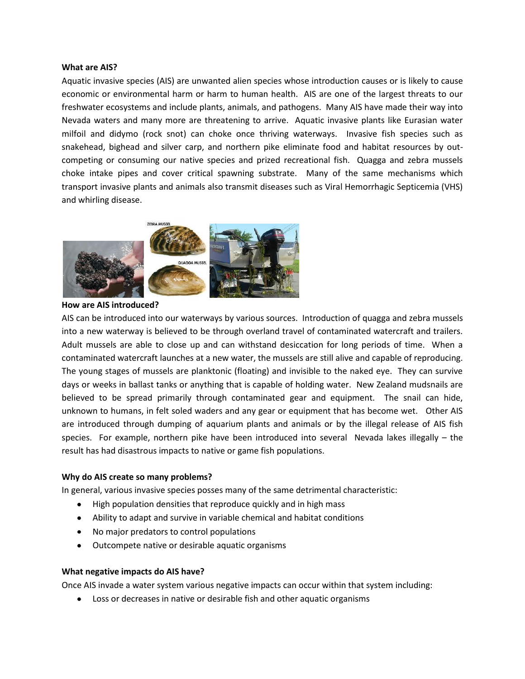## **What are AIS?**

 Aquatic invasive species (AIS) are unwanted alien species whose introduction causes or is likely to cause economic or environmental harm or harm to human health. AIS are one of the largest threats to our freshwater ecosystems and include plants, animals, and pathogens. Many AIS have made their way into Nevada waters and many more are threatening to arrive. Aquatic invasive plants like Eurasian water milfoil and didymo (rock snot) can choke once thriving waterways. Invasive fish species such as snakehead, bighead and silver carp, and northern pike eliminate food and habitat resources by out- competing or consuming our native species and prized recreational fish. Quagga and zebra mussels choke intake pipes and cover critical spawning substrate. Many of the same mechanisms which transport invasive plants and animals also transmit diseases such as Viral Hemorrhagic Septicemia (VHS) and whirling disease.



**How are AIS introduced?** 

 AIS can be introduced into our waterways by various sources. Introduction of quagga and zebra mussels into a new waterway is believed to be through overland travel of contaminated watercraft and trailers. Adult mussels are able to close up and can withstand desiccation for long periods of time. When a contaminated watercraft launches at a new water, the mussels are still alive and capable of reproducing. contaminated watercraft launches at a new water, the mussels are still alive and capable of reproducing.<br>The young stages of mussels are planktonic (floating) and invisible to the naked eye. They can survive days or weeks in ballast tanks or anything that is capable of holding water. New Zealand mudsnails are believed to be spread primarily through contaminated gear and equipment. The snail can hide, unknown to humans, in felt soled waders and any gear or equipment that has become wet. Other AIS are introduced through dumping of aquarium plants and animals or by the illegal release of AIS fish species. For example, northern pike have been introduced into several Nevada lakes illegally – the result has had disastrous impacts to native or game fish populations.

## **Why do AIS create so many problems?**

In general, various invasive species posses many of the same detrimental characteristic:

- High population densities that reproduce quickly and in high mass
- Ability to adapt and survive in variable chemical and habitat conditions
- No major predators to control populations
- Outcompete native or desirable aquatic organisms

## **What negative impacts do AIS have?**

Once AIS invade a water system various negative impacts can occur within that system including:

• Loss or decreases in native or desirable fish and other aquatic organisms